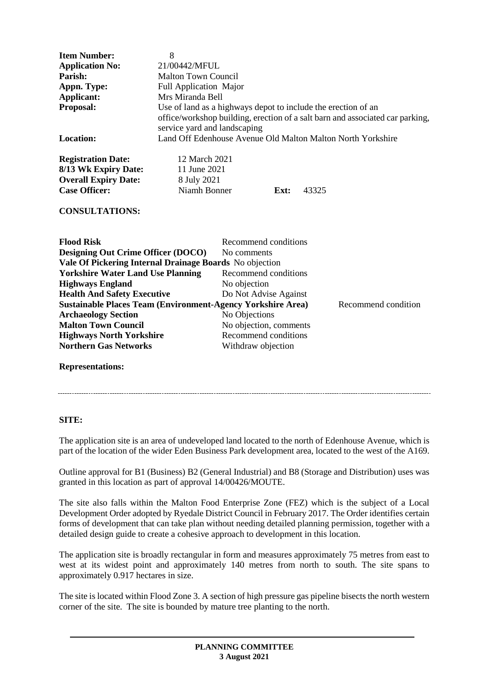| <b>Item Number:</b>                                                                       | 8                                                             |                                                                               |  |  |
|-------------------------------------------------------------------------------------------|---------------------------------------------------------------|-------------------------------------------------------------------------------|--|--|
| <b>Application No:</b>                                                                    | 21/00442/MFUL                                                 |                                                                               |  |  |
| Parish:                                                                                   | <b>Malton Town Council</b>                                    |                                                                               |  |  |
| Appn. Type:                                                                               | Full Application Major                                        |                                                                               |  |  |
| Applicant:                                                                                | Mrs Miranda Bell                                              |                                                                               |  |  |
| Proposal:                                                                                 | Use of land as a highways depot to include the erection of an |                                                                               |  |  |
|                                                                                           |                                                               | office/workshop building, erection of a salt barn and associated car parking, |  |  |
|                                                                                           | service yard and landscaping                                  |                                                                               |  |  |
| <b>Location:</b>                                                                          | Land Off Edenhouse Avenue Old Malton Malton North Yorkshire   |                                                                               |  |  |
| <b>Registration Date:</b>                                                                 | 12 March 2021                                                 |                                                                               |  |  |
| 8/13 Wk Expiry Date:                                                                      | 11 June 2021                                                  |                                                                               |  |  |
| <b>Overall Expiry Date:</b>                                                               | 8 July 2021                                                   |                                                                               |  |  |
| <b>Case Officer:</b>                                                                      | Niamh Bonner<br>43325<br>Ext:                                 |                                                                               |  |  |
| <b>CONSULTATIONS:</b>                                                                     |                                                               |                                                                               |  |  |
| <b>Flood Risk</b>                                                                         |                                                               | Recommend conditions                                                          |  |  |
| <b>Designing Out Crime Officer (DOCO)</b>                                                 |                                                               | No comments                                                                   |  |  |
| Vale Of Pickering Internal Drainage Boards No objection                                   |                                                               |                                                                               |  |  |
| <b>Yorkshire Water Land Use Planning</b>                                                  |                                                               | Recommend conditions                                                          |  |  |
| <b>Highways England</b>                                                                   |                                                               | No objection                                                                  |  |  |
| <b>Health And Safety Executive</b>                                                        |                                                               | Do Not Advise Against                                                         |  |  |
| <b>Sustainable Places Team (Environment-Agency Yorkshire Area)</b><br>Recommend condition |                                                               |                                                                               |  |  |
| <b>Archaeology Section</b>                                                                |                                                               | No Objections                                                                 |  |  |
| <b>Malton Town Council</b>                                                                |                                                               | No objection, comments                                                        |  |  |
| <b>Highways North Yorkshire</b>                                                           |                                                               | Recommend conditions                                                          |  |  |
| <b>Northern Gas Networks</b>                                                              |                                                               | Withdraw objection                                                            |  |  |

#### **Representations:**

## **SITE:**

The application site is an area of undeveloped land located to the north of Edenhouse Avenue, which is part of the location of the wider Eden Business Park development area, located to the west of the A169.

Outline approval for B1 (Business) B2 (General Industrial) and B8 (Storage and Distribution) uses was granted in this location as part of approval 14/00426/MOUTE.

The site also falls within the Malton Food Enterprise Zone (FEZ) which is the subject of a Local Development Order adopted by Ryedale District Council in February 2017. The Order identifies certain forms of development that can take plan without needing detailed planning permission, together with a detailed design guide to create a cohesive approach to development in this location.

The application site is broadly rectangular in form and measures approximately 75 metres from east to west at its widest point and approximately 140 metres from north to south. The site spans to approximately 0.917 hectares in size.

The site is located within Flood Zone 3. A section of high pressure gas pipeline bisects the north western corner of the site. The site is bounded by mature tree planting to the north.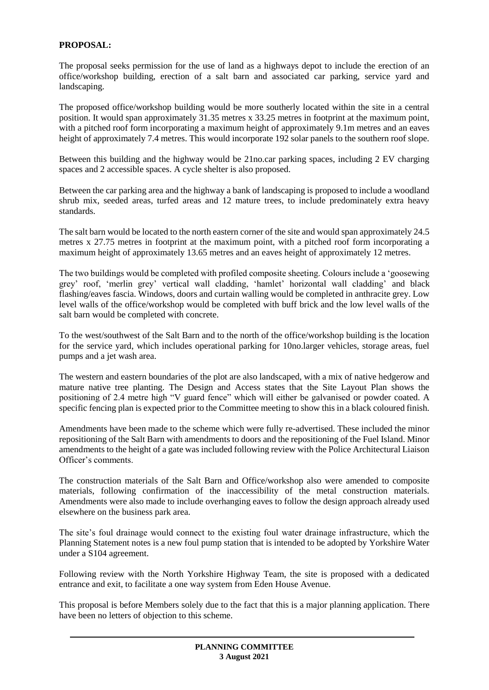# **PROPOSAL:**

The proposal seeks permission for the use of land as a highways depot to include the erection of an office/workshop building, erection of a salt barn and associated car parking, service yard and landscaping.

The proposed office/workshop building would be more southerly located within the site in a central position. It would span approximately 31.35 metres x 33.25 metres in footprint at the maximum point, with a pitched roof form incorporating a maximum height of approximately 9.1m metres and an eaves height of approximately 7.4 metres. This would incorporate 192 solar panels to the southern roof slope.

Between this building and the highway would be 21no.car parking spaces, including 2 EV charging spaces and 2 accessible spaces. A cycle shelter is also proposed.

Between the car parking area and the highway a bank of landscaping is proposed to include a woodland shrub mix, seeded areas, turfed areas and 12 mature trees, to include predominately extra heavy standards.

The salt barn would be located to the north eastern corner of the site and would span approximately 24.5 metres x 27.75 metres in footprint at the maximum point, with a pitched roof form incorporating a maximum height of approximately 13.65 metres and an eaves height of approximately 12 metres.

The two buildings would be completed with profiled composite sheeting. Colours include a 'goosewing grey' roof, 'merlin grey' vertical wall cladding, 'hamlet' horizontal wall cladding' and black flashing/eaves fascia. Windows, doors and curtain walling would be completed in anthracite grey. Low level walls of the office/workshop would be completed with buff brick and the low level walls of the salt barn would be completed with concrete.

To the west/southwest of the Salt Barn and to the north of the office/workshop building is the location for the service yard, which includes operational parking for 10no.larger vehicles, storage areas, fuel pumps and a jet wash area.

The western and eastern boundaries of the plot are also landscaped, with a mix of native hedgerow and mature native tree planting. The Design and Access states that the Site Layout Plan shows the positioning of 2.4 metre high "V guard fence" which will either be galvanised or powder coated. A specific fencing plan is expected prior to the Committee meeting to show this in a black coloured finish.

Amendments have been made to the scheme which were fully re-advertised. These included the minor repositioning of the Salt Barn with amendments to doors and the repositioning of the Fuel Island. Minor amendments to the height of a gate was included following review with the Police Architectural Liaison Officer's comments.

The construction materials of the Salt Barn and Office/workshop also were amended to composite materials, following confirmation of the inaccessibility of the metal construction materials. Amendments were also made to include overhanging eaves to follow the design approach already used elsewhere on the business park area.

The site's foul drainage would connect to the existing foul water drainage infrastructure, which the Planning Statement notes is a new foul pump station that is intended to be adopted by Yorkshire Water under a S104 agreement.

Following review with the North Yorkshire Highway Team, the site is proposed with a dedicated entrance and exit, to facilitate a one way system from Eden House Avenue.

This proposal is before Members solely due to the fact that this is a major planning application. There have been no letters of objection to this scheme.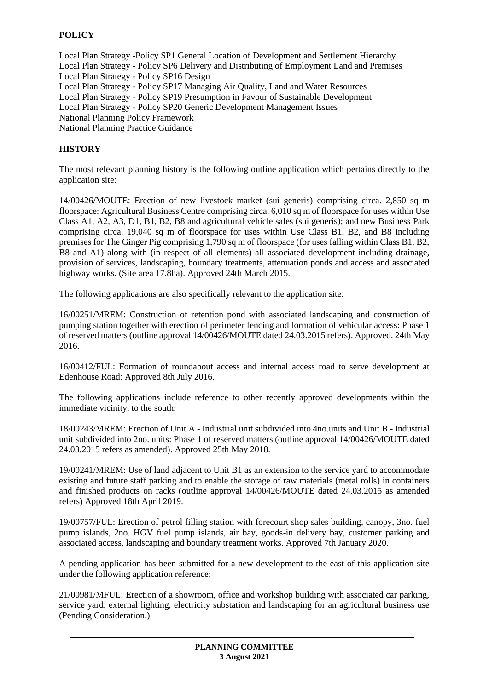# **POLICY**

Local Plan Strategy -Policy SP1 General Location of Development and Settlement Hierarchy Local Plan Strategy - Policy SP6 Delivery and Distributing of Employment Land and Premises Local Plan Strategy - Policy SP16 Design Local Plan Strategy - Policy SP17 Managing Air Quality, Land and Water Resources Local Plan Strategy - Policy SP19 Presumption in Favour of Sustainable Development Local Plan Strategy - Policy SP20 Generic Development Management Issues National Planning Policy Framework National Planning Practice Guidance

### **HISTORY**

The most relevant planning history is the following outline application which pertains directly to the application site:

14/00426/MOUTE: Erection of new livestock market (sui generis) comprising circa. 2,850 sq m floorspace: Agricultural Business Centre comprising circa. 6,010 sq m of floorspace for uses within Use Class A1, A2, A3, D1, B1, B2, B8 and agricultural vehicle sales (sui generis); and new Business Park comprising circa. 19,040 sq m of floorspace for uses within Use Class B1, B2, and B8 including premises for The Ginger Pig comprising 1,790 sq m of floorspace (for uses falling within Class B1, B2, B8 and A1) along with (in respect of all elements) all associated development including drainage, provision of services, landscaping, boundary treatments, attenuation ponds and access and associated highway works. (Site area 17.8ha). Approved 24th March 2015.

The following applications are also specifically relevant to the application site:

16/00251/MREM: Construction of retention pond with associated landscaping and construction of pumping station together with erection of perimeter fencing and formation of vehicular access: Phase 1 of reserved matters (outline approval 14/00426/MOUTE dated 24.03.2015 refers). Approved. 24th May 2016.

16/00412/FUL: Formation of roundabout access and internal access road to serve development at Edenhouse Road: Approved 8th July 2016.

The following applications include reference to other recently approved developments within the immediate vicinity, to the south:

18/00243/MREM: Erection of Unit A - Industrial unit subdivided into 4no.units and Unit B - Industrial unit subdivided into 2no. units: Phase 1 of reserved matters (outline approval 14/00426/MOUTE dated 24.03.2015 refers as amended). Approved 25th May 2018.

19/00241/MREM: Use of land adjacent to Unit B1 as an extension to the service yard to accommodate existing and future staff parking and to enable the storage of raw materials (metal rolls) in containers and finished products on racks (outline approval 14/00426/MOUTE dated 24.03.2015 as amended refers) Approved 18th April 2019.

19/00757/FUL: Erection of petrol filling station with forecourt shop sales building, canopy, 3no. fuel pump islands, 2no. HGV fuel pump islands, air bay, goods-in delivery bay, customer parking and associated access, landscaping and boundary treatment works. Approved 7th January 2020.

A pending application has been submitted for a new development to the east of this application site under the following application reference:

21/00981/MFUL: Erection of a showroom, office and workshop building with associated car parking, service yard, external lighting, electricity substation and landscaping for an agricultural business use (Pending Consideration.)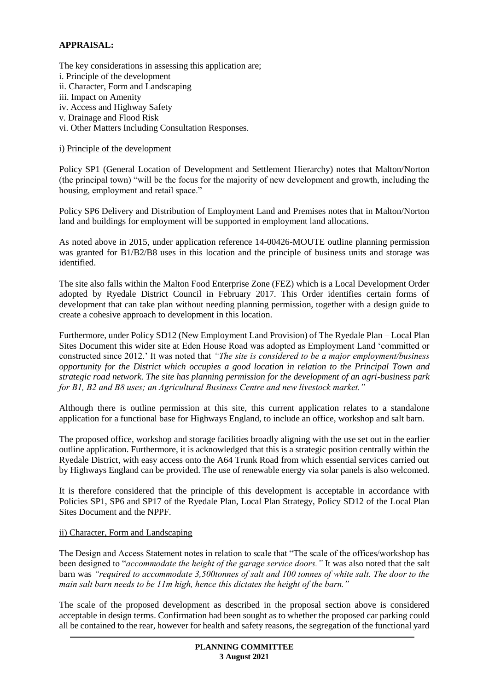# **APPRAISAL:**

The key considerations in assessing this application are; i. Principle of the development ii. Character, Form and Landscaping iii. Impact on Amenity iv. Access and Highway Safety v. Drainage and Flood Risk

vi. Other Matters Including Consultation Responses.

#### i) Principle of the development

Policy SP1 (General Location of Development and Settlement Hierarchy) notes that Malton/Norton (the principal town) "will be the focus for the majority of new development and growth, including the housing, employment and retail space."

Policy SP6 Delivery and Distribution of Employment Land and Premises notes that in Malton/Norton land and buildings for employment will be supported in employment land allocations.

As noted above in 2015, under application reference 14-00426-MOUTE outline planning permission was granted for B1/B2/B8 uses in this location and the principle of business units and storage was identified.

The site also falls within the Malton Food Enterprise Zone (FEZ) which is a Local Development Order adopted by Ryedale District Council in February 2017. This Order identifies certain forms of development that can take plan without needing planning permission, together with a design guide to create a cohesive approach to development in this location.

Furthermore, under Policy SD12 (New Employment Land Provision) of The Ryedale Plan – Local Plan Sites Document this wider site at Eden House Road was adopted as Employment Land 'committed or constructed since 2012.' It was noted that *"The site is considered to be a major employment/business opportunity for the District which occupies a good location in relation to the Principal Town and strategic road network. The site has planning permission for the development of an agri-business park for B1, B2 and B8 uses; an Agricultural Business Centre and new livestock market."*

Although there is outline permission at this site, this current application relates to a standalone application for a functional base for Highways England, to include an office, workshop and salt barn.

The proposed office, workshop and storage facilities broadly aligning with the use set out in the earlier outline application. Furthermore, it is acknowledged that this is a strategic position centrally within the Ryedale District, with easy access onto the A64 Trunk Road from which essential services carried out by Highways England can be provided. The use of renewable energy via solar panels is also welcomed.

It is therefore considered that the principle of this development is acceptable in accordance with Policies SP1, SP6 and SP17 of the Ryedale Plan, Local Plan Strategy, Policy SD12 of the Local Plan Sites Document and the NPPF.

#### ii) Character, Form and Landscaping

The Design and Access Statement notes in relation to scale that "The scale of the offices/workshop has been designed to "*accommodate the height of the garage service doors."* It was also noted that the salt barn was *"required to accommodate 3,500tonnes of salt and 100 tonnes of white salt. The door to the main salt barn needs to be 11m high, hence this dictates the height of the barn."*

The scale of the proposed development as described in the proposal section above is considered acceptable in design terms. Confirmation had been sought as to whether the proposed car parking could all be contained to the rear, however for health and safety reasons, the segregation of the functional yard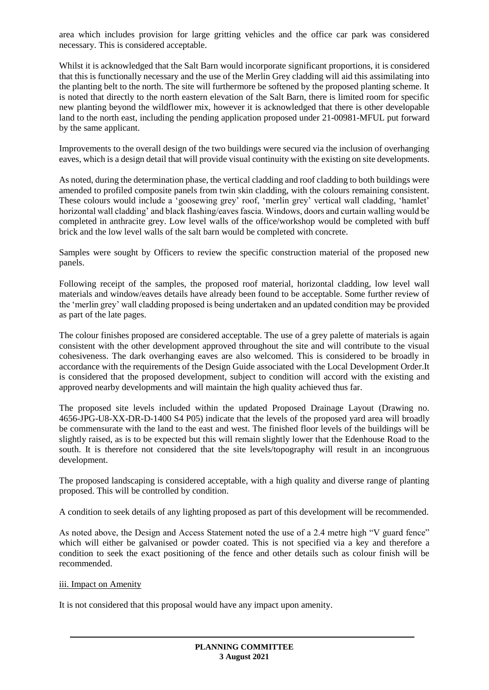area which includes provision for large gritting vehicles and the office car park was considered necessary. This is considered acceptable.

Whilst it is acknowledged that the Salt Barn would incorporate significant proportions, it is considered that this is functionally necessary and the use of the Merlin Grey cladding will aid this assimilating into the planting belt to the north. The site will furthermore be softened by the proposed planting scheme. It is noted that directly to the north eastern elevation of the Salt Barn, there is limited room for specific new planting beyond the wildflower mix, however it is acknowledged that there is other developable land to the north east, including the pending application proposed under 21-00981-MFUL put forward by the same applicant.

Improvements to the overall design of the two buildings were secured via the inclusion of overhanging eaves, which is a design detail that will provide visual continuity with the existing on site developments.

As noted, during the determination phase, the vertical cladding and roof cladding to both buildings were amended to profiled composite panels from twin skin cladding, with the colours remaining consistent. These colours would include a 'goosewing grey' roof, 'merlin grey' vertical wall cladding, 'hamlet' horizontal wall cladding' and black flashing/eaves fascia. Windows, doors and curtain walling would be completed in anthracite grey. Low level walls of the office/workshop would be completed with buff brick and the low level walls of the salt barn would be completed with concrete.

Samples were sought by Officers to review the specific construction material of the proposed new panels.

Following receipt of the samples, the proposed roof material, horizontal cladding, low level wall materials and window/eaves details have already been found to be acceptable. Some further review of the 'merlin grey' wall cladding proposed is being undertaken and an updated condition may be provided as part of the late pages.

The colour finishes proposed are considered acceptable. The use of a grey palette of materials is again consistent with the other development approved throughout the site and will contribute to the visual cohesiveness. The dark overhanging eaves are also welcomed. This is considered to be broadly in accordance with the requirements of the Design Guide associated with the Local Development Order.It is considered that the proposed development, subject to condition will accord with the existing and approved nearby developments and will maintain the high quality achieved thus far.

The proposed site levels included within the updated Proposed Drainage Layout (Drawing no. 4656-JPG-U8-XX-DR-D-1400 S4 P05) indicate that the levels of the proposed yard area will broadly be commensurate with the land to the east and west. The finished floor levels of the buildings will be slightly raised, as is to be expected but this will remain slightly lower that the Edenhouse Road to the south. It is therefore not considered that the site levels/topography will result in an incongruous development.

The proposed landscaping is considered acceptable, with a high quality and diverse range of planting proposed. This will be controlled by condition.

A condition to seek details of any lighting proposed as part of this development will be recommended.

As noted above, the Design and Access Statement noted the use of a 2.4 metre high "V guard fence" which will either be galvanised or powder coated. This is not specified via a key and therefore a condition to seek the exact positioning of the fence and other details such as colour finish will be recommended.

#### iii. Impact on Amenity

It is not considered that this proposal would have any impact upon amenity.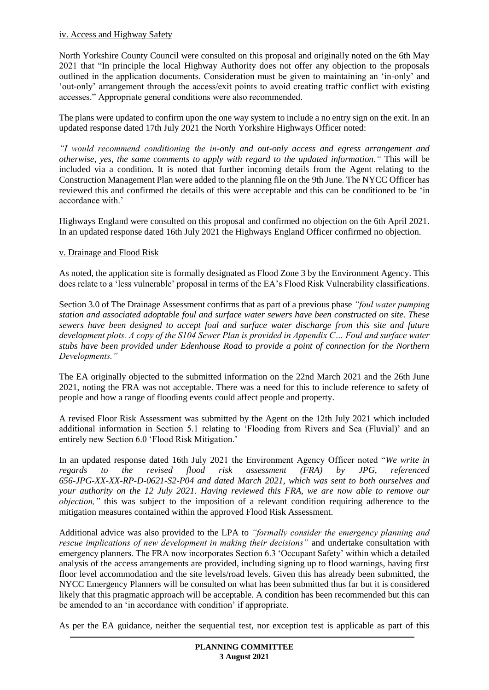### iv. Access and Highway Safety

North Yorkshire County Council were consulted on this proposal and originally noted on the 6th May 2021 that "In principle the local Highway Authority does not offer any objection to the proposals outlined in the application documents. Consideration must be given to maintaining an 'in-only' and 'out-only' arrangement through the access/exit points to avoid creating traffic conflict with existing accesses." Appropriate general conditions were also recommended.

The plans were updated to confirm upon the one way system to include a no entry sign on the exit. In an updated response dated 17th July 2021 the North Yorkshire Highways Officer noted:

*"I would recommend conditioning the in-only and out-only access and egress arrangement and otherwise, yes, the same comments to apply with regard to the updated information."* This will be included via a condition. It is noted that further incoming details from the Agent relating to the Construction Management Plan were added to the planning file on the 9th June. The NYCC Officer has reviewed this and confirmed the details of this were acceptable and this can be conditioned to be 'in accordance with '

Highways England were consulted on this proposal and confirmed no objection on the 6th April 2021. In an updated response dated 16th July 2021 the Highways England Officer confirmed no objection.

### v. Drainage and Flood Risk

As noted, the application site is formally designated as Flood Zone 3 by the Environment Agency. This does relate to a 'less vulnerable' proposal in terms of the EA's Flood Risk Vulnerability classifications.

Section 3.0 of The Drainage Assessment confirms that as part of a previous phase *"foul water pumping station and associated adoptable foul and surface water sewers have been constructed on site. These sewers have been designed to accept foul and surface water discharge from this site and future development plots. A copy of the S104 Sewer Plan is provided in Appendix C… Foul and surface water stubs have been provided under Edenhouse Road to provide a point of connection for the Northern Developments."*

The EA originally objected to the submitted information on the 22nd March 2021 and the 26th June 2021, noting the FRA was not acceptable. There was a need for this to include reference to safety of people and how a range of flooding events could affect people and property.

A revised Floor Risk Assessment was submitted by the Agent on the 12th July 2021 which included additional information in Section 5.1 relating to 'Flooding from Rivers and Sea (Fluvial)' and an entirely new Section 6.0 'Flood Risk Mitigation.'

In an updated response dated 16th July 2021 the Environment Agency Officer noted "*We write in regards to the revised flood risk assessment (FRA) by JPG, referenced 656-JPG-XX-XX-RP-D-0621-S2-P04 and dated March 2021, which was sent to both ourselves and your authority on the 12 July 2021. Having reviewed this FRA, we are now able to remove our objection,"* this was subject to the imposition of a relevant condition requiring adherence to the mitigation measures contained within the approved Flood Risk Assessment.

Additional advice was also provided to the LPA to *"formally consider the emergency planning and rescue implications of new development in making their decisions"* and undertake consultation with emergency planners. The FRA now incorporates Section 6.3 'Occupant Safety' within which a detailed analysis of the access arrangements are provided, including signing up to flood warnings, having first floor level accommodation and the site levels/road levels. Given this has already been submitted, the NYCC Emergency Planners will be consulted on what has been submitted thus far but it is considered likely that this pragmatic approach will be acceptable. A condition has been recommended but this can be amended to an 'in accordance with condition' if appropriate.

As per the EA guidance, neither the sequential test, nor exception test is applicable as part of this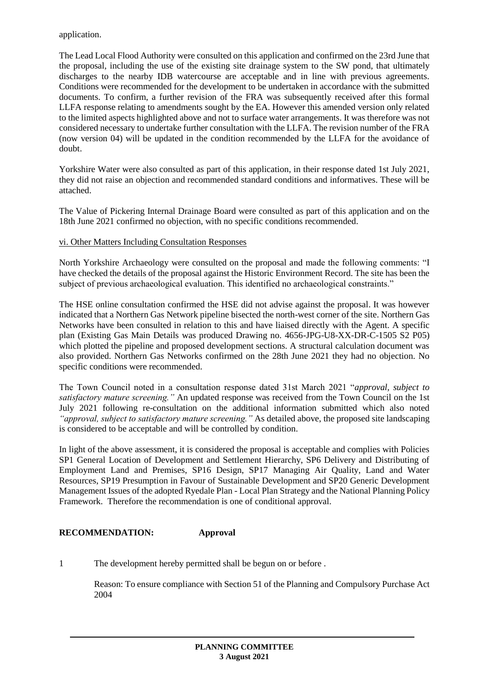application.

The Lead Local Flood Authority were consulted on this application and confirmed on the 23rd June that the proposal, including the use of the existing site drainage system to the SW pond, that ultimately discharges to the nearby IDB watercourse are acceptable and in line with previous agreements. Conditions were recommended for the development to be undertaken in accordance with the submitted documents. To confirm, a further revision of the FRA was subsequently received after this formal LLFA response relating to amendments sought by the EA. However this amended version only related to the limited aspects highlighted above and not to surface water arrangements. It was therefore was not considered necessary to undertake further consultation with the LLFA. The revision number of the FRA (now version 04) will be updated in the condition recommended by the LLFA for the avoidance of doubt.

Yorkshire Water were also consulted as part of this application, in their response dated 1st July 2021, they did not raise an objection and recommended standard conditions and informatives. These will be attached.

The Value of Pickering Internal Drainage Board were consulted as part of this application and on the 18th June 2021 confirmed no objection, with no specific conditions recommended.

## vi. Other Matters Including Consultation Responses

North Yorkshire Archaeology were consulted on the proposal and made the following comments: "I have checked the details of the proposal against the Historic Environment Record. The site has been the subject of previous archaeological evaluation. This identified no archaeological constraints."

The HSE online consultation confirmed the HSE did not advise against the proposal. It was however indicated that a Northern Gas Network pipeline bisected the north-west corner of the site. Northern Gas Networks have been consulted in relation to this and have liaised directly with the Agent. A specific plan (Existing Gas Main Details was produced Drawing no. 4656-JPG-U8-XX-DR-C-1505 S2 P05) which plotted the pipeline and proposed development sections. A structural calculation document was also provided. Northern Gas Networks confirmed on the 28th June 2021 they had no objection. No specific conditions were recommended.

The Town Council noted in a consultation response dated 31st March 2021 "*approval, subject to satisfactory mature screening."* An updated response was received from the Town Council on the 1st July 2021 following re-consultation on the additional information submitted which also noted *"approval, subject to satisfactory mature screening."* As detailed above, the proposed site landscaping is considered to be acceptable and will be controlled by condition.

In light of the above assessment, it is considered the proposal is acceptable and complies with Policies SP1 General Location of Development and Settlement Hierarchy, SP6 Delivery and Distributing of Employment Land and Premises, SP16 Design, SP17 Managing Air Quality, Land and Water Resources, SP19 Presumption in Favour of Sustainable Development and SP20 Generic Development Management Issues of the adopted Ryedale Plan - Local Plan Strategy and the National Planning Policy Framework. Therefore the recommendation is one of conditional approval.

# **RECOMMENDATION: Approval**

1 The development hereby permitted shall be begun on or before .

Reason: To ensure compliance with Section 51 of the Planning and Compulsory Purchase Act 2004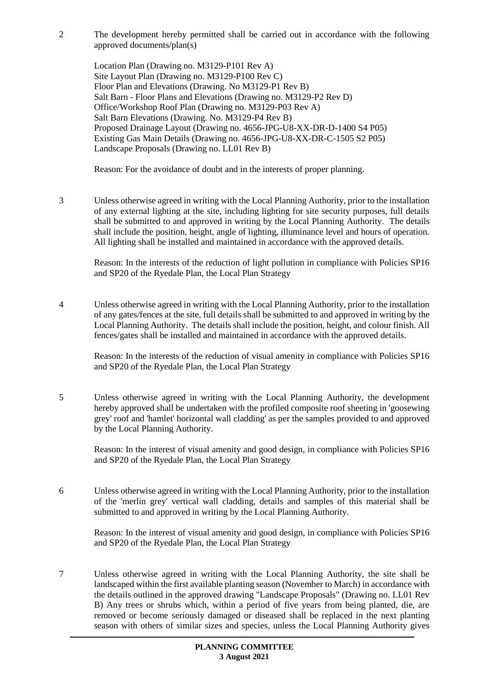2 The development hereby permitted shall be carried out in accordance with the following approved documents/plan(s)

Location Plan (Drawing no. M3129-P101 Rev A) Site Layout Plan (Drawing no. M3129-P100 Rev C) Floor Plan and Elevations (Drawing. No M3129-P1 Rev B) Salt Barn - Floor Plans and Elevations (Drawing no. M3129-P2 Rev D) Office/Workshop Roof Plan (Drawing no. M3129-P03 Rev A) Salt Barn Elevations (Drawing. No. M3129-P4 Rev B) Proposed Drainage Layout (Drawing no. 4656-JPG-U8-XX-DR-D-1400 S4 P05) Existing Gas Main Details (Drawing no. 4656-JPG-U8-XX-DR-C-1505 S2 P05) Landscape Proposals (Drawing no. LL01 Rev B)

Reason: For the avoidance of doubt and in the interests of proper planning.

3 Unless otherwise agreed in writing with the Local Planning Authority, prior to the installation of any external lighting at the site, including lighting for site security purposes, full details shall be submitted to and approved in writing by the Local Planning Authority. The details shall include the position, height, angle of lighting, illuminance level and hours of operation. All lighting shall be installed and maintained in accordance with the approved details.

Reason: In the interests of the reduction of light pollution in compliance with Policies SP16 and SP20 of the Ryedale Plan, the Local Plan Strategy

4 Unless otherwise agreed in writing with the Local Planning Authority, prior to the installation of any gates/fences at the site, full details shall be submitted to and approved in writing by the Local Planning Authority. The details shall include the position, height, and colour finish. All fences/gates shall be installed and maintained in accordance with the approved details.

Reason: In the interests of the reduction of visual amenity in compliance with Policies SP16 and SP20 of the Ryedale Plan, the Local Plan Strategy

5 Unless otherwise agreed in writing with the Local Planning Authority, the development hereby approved shall be undertaken with the profiled composite roof sheeting in 'goosewing grey' roof and 'hamlet' horizontal wall cladding' as per the samples provided to and approved by the Local Planning Authority.

Reason: In the interest of visual amenity and good design, in compliance with Policies SP16 and SP20 of the Ryedale Plan, the Local Plan Strategy

6 Unless otherwise agreed in writing with the Local Planning Authority, prior to the installation of the 'merlin grey' vertical wall cladding, details and samples of this material shall be submitted to and approved in writing by the Local Planning Authority.

Reason: In the interest of visual amenity and good design, in compliance with Policies SP16 and SP20 of the Ryedale Plan, the Local Plan Strategy

7 Unless otherwise agreed in writing with the Local Planning Authority, the site shall be landscaped within the first available planting season (November to March) in accordance with the details outlined in the approved drawing "Landscape Proposals" (Drawing no. LL01 Rev B) Any trees or shrubs which, within a period of five years from being planted, die, are removed or become seriously damaged or diseased shall be replaced in the next planting season with others of similar sizes and species, unless the Local Planning Authority gives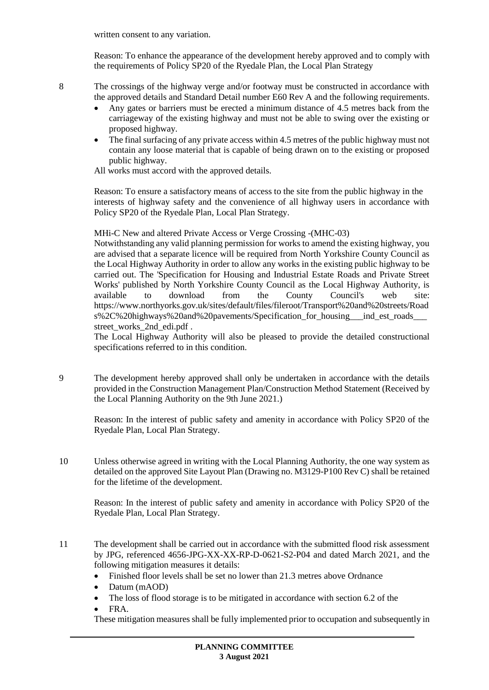written consent to any variation.

Reason: To enhance the appearance of the development hereby approved and to comply with the requirements of Policy SP20 of the Ryedale Plan, the Local Plan Strategy

8 The crossings of the highway verge and/or footway must be constructed in accordance with the approved details and Standard Detail number E60 Rev A and the following requirements.

- Any gates or barriers must be erected a minimum distance of 4.5 metres back from the carriageway of the existing highway and must not be able to swing over the existing or proposed highway.
- The final surfacing of any private access within 4.5 metres of the public highway must not contain any loose material that is capable of being drawn on to the existing or proposed public highway.

All works must accord with the approved details.

Reason: To ensure a satisfactory means of access to the site from the public highway in the interests of highway safety and the convenience of all highway users in accordance with Policy SP20 of the Ryedale Plan, Local Plan Strategy.

MHi-C New and altered Private Access or Verge Crossing -(MHC-03)

Notwithstanding any valid planning permission for works to amend the existing highway, you are advised that a separate licence will be required from North Yorkshire County Council as the Local Highway Authority in order to allow any works in the existing public highway to be carried out. The 'Specification for Housing and Industrial Estate Roads and Private Street Works' published by North Yorkshire County Council as the Local Highway Authority, is available to download from the County Council's web site: https://www.northyorks.gov.uk/sites/default/files/fileroot/Transport%20and%20streets/Road s%2C%20highways%20and%20pavements/Specification\_for\_housing\_\_\_ind\_est\_roads\_\_\_ street\_works\_2nd\_edi.pdf .

The Local Highway Authority will also be pleased to provide the detailed constructional specifications referred to in this condition.

9 The development hereby approved shall only be undertaken in accordance with the details provided in the Construction Management Plan/Construction Method Statement (Received by the Local Planning Authority on the 9th June 2021.)

Reason: In the interest of public safety and amenity in accordance with Policy SP20 of the Ryedale Plan, Local Plan Strategy.

10 Unless otherwise agreed in writing with the Local Planning Authority, the one way system as detailed on the approved Site Layout Plan (Drawing no. M3129-P100 Rev C) shall be retained for the lifetime of the development.

Reason: In the interest of public safety and amenity in accordance with Policy SP20 of the Ryedale Plan, Local Plan Strategy.

- 11 The development shall be carried out in accordance with the submitted flood risk assessment by JPG, referenced 4656-JPG-XX-XX-RP-D-0621-S2-P04 and dated March 2021, and the following mitigation measures it details:
	- Finished floor levels shall be set no lower than 21.3 metres above Ordnance
	- Datum (mAOD)
	- The loss of flood storage is to be mitigated in accordance with section 6.2 of the
	- FRA.

These mitigation measures shall be fully implemented prior to occupation and subsequently in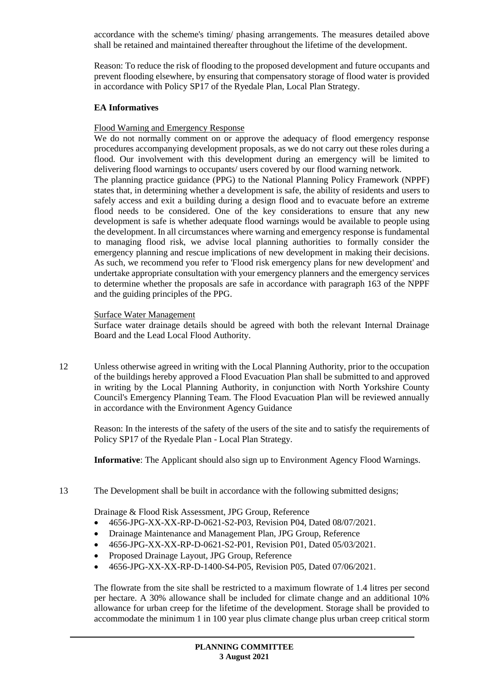accordance with the scheme's timing/ phasing arrangements. The measures detailed above shall be retained and maintained thereafter throughout the lifetime of the development.

Reason: To reduce the risk of flooding to the proposed development and future occupants and prevent flooding elsewhere, by ensuring that compensatory storage of flood water is provided in accordance with Policy SP17 of the Ryedale Plan, Local Plan Strategy.

## **EA Informatives**

## Flood Warning and Emergency Response

We do not normally comment on or approve the adequacy of flood emergency response procedures accompanying development proposals, as we do not carry out these roles during a flood. Our involvement with this development during an emergency will be limited to delivering flood warnings to occupants/ users covered by our flood warning network. The planning practice guidance (PPG) to the National Planning Policy Framework (NPPF) states that, in determining whether a development is safe, the ability of residents and users to safely access and exit a building during a design flood and to evacuate before an extreme flood needs to be considered. One of the key considerations to ensure that any new development is safe is whether adequate flood warnings would be available to people using the development. In all circumstances where warning and emergency response is fundamental to managing flood risk, we advise local planning authorities to formally consider the emergency planning and rescue implications of new development in making their decisions. As such, we recommend you refer to 'Flood risk emergency plans for new development' and undertake appropriate consultation with your emergency planners and the emergency services to determine whether the proposals are safe in accordance with paragraph 163 of the NPPF and the guiding principles of the PPG.

### Surface Water Management

Surface water drainage details should be agreed with both the relevant Internal Drainage Board and the Lead Local Flood Authority.

12 Unless otherwise agreed in writing with the Local Planning Authority, prior to the occupation of the buildings hereby approved a Flood Evacuation Plan shall be submitted to and approved in writing by the Local Planning Authority, in conjunction with North Yorkshire County Council's Emergency Planning Team. The Flood Evacuation Plan will be reviewed annually in accordance with the Environment Agency Guidance

Reason: In the interests of the safety of the users of the site and to satisfy the requirements of Policy SP17 of the Ryedale Plan - Local Plan Strategy.

**Informative**: The Applicant should also sign up to Environment Agency Flood Warnings.

13 The Development shall be built in accordance with the following submitted designs;

Drainage & Flood Risk Assessment, JPG Group, Reference

- 4656-JPG-XX-XX-RP-D-0621-S2-P03, Revision P04, Dated 08/07/2021.
- Drainage Maintenance and Management Plan, JPG Group, Reference
- 4656-JPG-XX-XX-RP-D-0621-S2-P01, Revision P01, Dated 05/03/2021.
- Proposed Drainage Layout, JPG Group, Reference
- 4656-JPG-XX-XX-RP-D-1400-S4-P05, Revision P05, Dated 07/06/2021.

The flowrate from the site shall be restricted to a maximum flowrate of 1.4 litres per second per hectare. A 30% allowance shall be included for climate change and an additional 10% allowance for urban creep for the lifetime of the development. Storage shall be provided to accommodate the minimum 1 in 100 year plus climate change plus urban creep critical storm